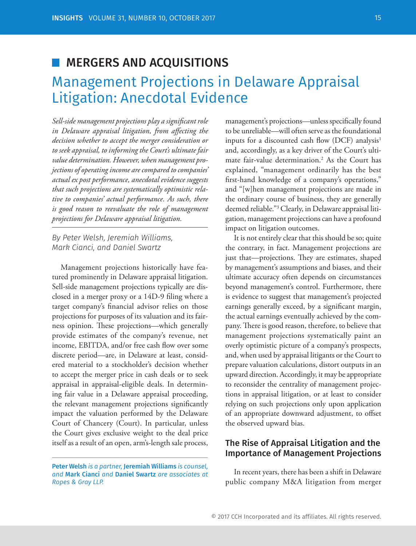## MERGERS AND ACQUISITIONS

# Management Projections in Delaware Appraisal Litigation: Anecdotal Evidence

Sell-side management projections play a significant role in Delaware appraisal litigation, from affecting the *decision whether to accept the merger consideration or to seek appraisal, to informing the Court's ultimate fair value determination. However, when management projections of operating income are compared to companies' actual ex post performance, anecdotal evidence suggests that such projections are systematically optimistic relative to companies' actual performance. As such, there is good reason to reevaluate the role of management projections for Delaware appraisal litigation.*

*By Peter Welsh, Jeremiah Williams, Mark Cianci, and Daniel Swartz*

Management projections historically have featured prominently in Delaware appraisal litigation. Sell-side management projections typically are disclosed in a merger proxy or a 14D-9 filing where a target company's financial advisor relies on those projections for purposes of its valuation and its fairness opinion. These projections—which generally provide estimates of the company's revenue, net income, EBITDA, and/or free cash flow over some discrete period—are, in Delaware at least, considered material to a stockholder's decision whether to accept the merger price in cash deals or to seek appraisal in appraisal-eligible deals. In determining fair value in a Delaware appraisal proceeding, the relevant management projections significantly impact the valuation performed by the Delaware Court of Chancery (Court). In particular, unless the Court gives exclusive weight to the deal price itself as a result of an open, arm's-length sale process,

management's projections—unless specifically found to be unreliable—will often serve as the foundational inputs for a discounted cash flow (DCF) analysis<sup>1</sup> and, accordingly, as a key driver of the Court's ultimate fair-value determination.2 As the Court has explained, "management ordinarily has the best first-hand knowledge of a company's operations," and "[w]hen management projections are made in the ordinary course of business, they are generally deemed reliable."3 Clearly, in Delaware appraisal litigation, management projections can have a profound impact on litigation outcomes.

It is not entirely clear that this should be so; quite the contrary, in fact. Management projections are just that—projections. They are estimates, shaped by management's assumptions and biases, and their ultimate accuracy often depends on circumstances beyond management's control. Furthermore, there is evidence to suggest that management's projected earnings generally exceed, by a significant margin, the actual earnings eventually achieved by the company. There is good reason, therefore, to believe that management projections systematically paint an overly optimistic picture of a company's prospects, and, when used by appraisal litigants or the Court to prepare valuation calculations, distort outputs in an upward direction. Accordingly, it may be appropriate to reconsider the centrality of management projections in appraisal litigation, or at least to consider relying on such projections only upon application of an appropriate downward adjustment, to offset the observed upward bias.

### The Rise of Appraisal Litigation and the Importance of Management Projections

In recent years, there has been a shift in Delaware public company M&A litigation from merger

Peter Welsh *is a partner,* Jeremiah Williams *is counsel, and* Mark Cianci *and* Daniel Swartz *are associates at Ropes & Gray LLP.*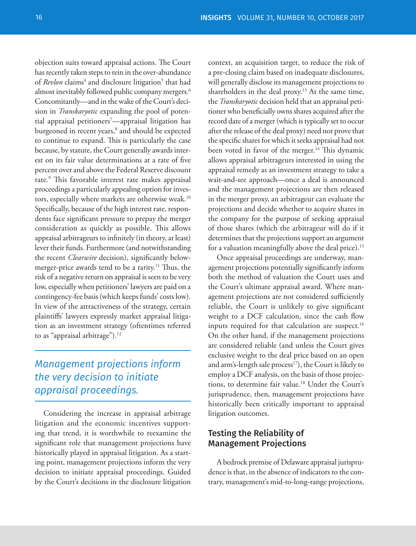objection suits toward appraisal actions. The Court has recently taken steps to rein in the over-abundance of *Revlon* claims<sup>4</sup> and disclosure litigation<sup>5</sup> that had almost inevitably followed public company mergers.<sup>6</sup> Concomitantly—and in the wake of the Court's decision in *Transkaryotic* expanding the pool of potential appraisal petitioners7 —appraisal litigation has burgeoned in recent years,<sup>8</sup> and should be expected to continue to expand. This is particularly the case because, by statute, the Court generally awards interest on its fair value determinations at a rate of five percent over and above the Federal Reserve discount rate.<sup>9</sup> This favorable interest rate makes appraisal proceedings a particularly appealing option for investors, especially where markets are otherwise weak.<sup>10</sup> Specifically, because of the high interest rate, respondents face significant pressure to prepay the merger consideration as quickly as possible. This allows appraisal arbitrageurs to infinitely (in theory, at least) lever their funds. Furthermore (and notwithstanding the recent *Clearwire* decision), significantly belowmerger-price awards tend to be a rarity.<sup>11</sup> Thus, the risk of a negative return on appraisal is seen to be very low, especially when petitioners' lawyers are paid on a contingency-fee basis (which keeps funds' costs low). In view of the attractiveness of the strategy, certain plaintiffs' lawyers expressly market appraisal litigation as an investment strategy (oftentimes referred to as "appraisal arbitrage").<sup>12</sup>

### *Management projections inform the very decision to initiate appraisal proceedings.*

Considering the increase in appraisal arbitrage litigation and the economic incentives supporting that trend, it is worthwhile to reexamine the significant role that management projections have historically played in appraisal litigation. As a starting point, management projections inform the very decision to initiate appraisal proceedings. Guided by the Court's decisions in the disclosure litigation

context, an acquisition target, to reduce the risk of a pre-closing claim based on inadequate disclosures, will generally disclose its management projections to shareholders in the deal proxy.<sup>13</sup> At the same time, the *Transkaryotic* decision held that an appraisal petitioner who beneficially owns shares acquired after the record date of a merger (which is typically set to occur after the release of the deal proxy) need not prove that the specific shares for which it seeks appraisal had not been voted in favor of the merger.<sup>14</sup> This dynamic allows appraisal arbitrageurs interested in using the appraisal remedy as an investment strategy to take a wait-and-see approach—once a deal is announced and the management projections are then released in the merger proxy, an arbitrageur can evaluate the projections and decide whether to acquire shares in the company for the purpose of seeking appraisal of those shares (which the arbitrageur will do if it determines that the projections support an argument for a valuation meaningfully above the deal price).<sup>15</sup>

Once appraisal proceedings are underway, management projections potentially significantly inform both the method of valuation the Court uses and the Court's ultimate appraisal award. Where management projections are not considered sufficiently reliable, the Court is unlikely to give significant weight to a DCF calculation, since the cash flow inputs required for that calculation are suspect.<sup>16</sup> On the other hand, if the management projections are considered reliable (and unless the Court gives exclusive weight to the deal price based on an open and arm's-length sale process<sup>17</sup>), the Court is likely to employ a DCF analysis, on the basis of those projections, to determine fair value.<sup>18</sup> Under the Court's jurisprudence, then, management projections have historically been critically important to appraisal litigation outcomes.

### Testing the Reliability of Management Projections

A bedrock premise of Delaware appraisal jurisprudence is that, in the absence of indicators to the contrary, management's mid-to-long-range projections,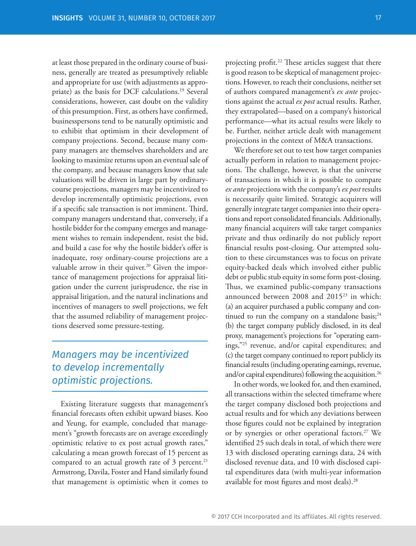at least those prepared in the ordinary course of business, generally are treated as presumptively reliable and appropriate for use (with adjustments as appropriate) as the basis for DCF calculations.<sup>19</sup> Several considerations, however, cast doubt on the validity of this presumption. First, as others have confirmed, businesspersons tend to be naturally optimistic and to exhibit that optimism in their development of company projections. Second, because many company managers are themselves shareholders and are looking to maximize returns upon an eventual sale of the company, and because managers know that sale valuations will be driven in large part by ordinarycourse projections, managers may be incentivized to develop incrementally optimistic projections, even if a specific sale transaction is not imminent. Third, company managers understand that, conversely, if a hostile bidder for the company emerges and management wishes to remain independent, resist the bid, and build a case for why the hostile bidder's offer is inadequate, rosy ordinary-course projections are a valuable arrow in their quiver.<sup>20</sup> Given the importance of management projections for appraisal litigation under the current jurisprudence, the rise in appraisal litigation, and the natural inclinations and incentives of managers to swell projections, we felt that the assumed reliability of management projections deserved some pressure-testing.

### *Managers may be incentivized to develop incrementally optimistic projections.*

Existing literature suggests that management's financial forecasts often exhibit upward biases. Koo and Yeung, for example, concluded that management's "growth forecasts are on average exceedingly optimistic relative to ex post actual growth rates," calculating a mean growth forecast of 15 percent as compared to an actual growth rate of  $3$  percent.<sup>21</sup> Armstrong, Davila, Foster and Hand similarly found that management is optimistic when it comes to

projecting profit.<sup>22</sup> These articles suggest that there is good reason to be skeptical of management projections. However, to reach their conclusions, neither set of authors compared management's *ex ante* projections against the actual *ex post* actual results. Rather, they extrapolated—based on a company's historical performance—what its actual results were likely to be. Further, neither article dealt with management projections in the context of M&A transactions.

We therefore set out to test how target companies actually perform in relation to management projections. The challenge, however, is that the universe of transactions in which it is possible to compare *ex ante* projections with the company's *ex post* results is necessarily quite limited. Strategic acquirers will generally integrate target companies into their operations and report consolidated financials. Additionally, many financial acquirers will take target companies private and thus ordinarily do not publicly report financial results post-closing. Our attempted solution to these circumstances was to focus on private equity-backed deals which involved either public debt or public stub equity in some form post-closing. Thus, we examined public-company transactions announced between 2008 and 2015<sup>23</sup> in which: (a) an acquirer purchased a public company and continued to run the company on a standalone basis; $^{24}$ (b) the target company publicly disclosed, in its deal proxy, management's projections for "operating earnings,"25 revenue, and/or capital expenditures; and (c) the target company continued to report publicly its financial results (including operating earnings, revenue, and/or capital expenditures) following the acquisition.<sup>26</sup>

In other words, we looked for, and then examined, all transactions within the selected timeframe where the target company disclosed both projections and actual results and for which any deviations between those figures could not be explained by integration or by synergies or other operational factors.<sup>27</sup> We identified 25 such deals in total, of which there were 13 with disclosed operating earnings data, 24 with disclosed revenue data, and 10 with disclosed capital expenditures data (with multi-year information available for most figures and most deals).<sup>28</sup>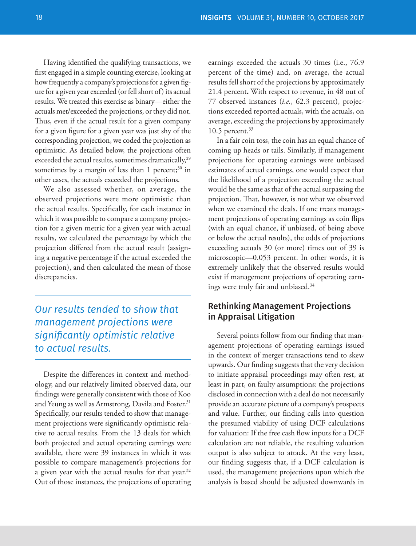Having identified the qualifying transactions, we first engaged in a simple counting exercise, looking at how frequently a company's projections for a given figure for a given year exceeded (or fell short of) its actual results. We treated this exercise as binary—either the actuals met/exceeded the projections, or they did not. Thus, even if the actual result for a given company for a given figure for a given year was just shy of the corresponding projection, we coded the projection as optimistic. As detailed below, the projections often exceeded the actual results, sometimes dramatically,<sup>29</sup> sometimes by a margin of less than 1 percent; $30$  in other cases, the actuals exceeded the projections.

We also assessed whether, on average, the observed projections were more optimistic than the actual results. Specifically, for each instance in which it was possible to compare a company projection for a given metric for a given year with actual results, we calculated the percentage by which the projection differed from the actual result (assigning a negative percentage if the actual exceeded the projection), and then calculated the mean of those discrepancies.

*Our results tended to show that management projections were signifi cantly optimistic relative to actual results.*

Despite the differences in context and methodology, and our relatively limited observed data, our findings were generally consistent with those of Koo and Yeung as well as Armstrong, Davila and Foster.<sup>31</sup> Specifically, our results tended to show that management projections were significantly optimistic relative to actual results. From the 13 deals for which both projected and actual operating earnings were available, there were 39 instances in which it was possible to compare management's projections for a given year with the actual results for that year. $32$ Out of those instances, the projections of operating earnings exceeded the actuals 30 times (i.e., 76.9 percent of the time) and, on average, the actual results fell short of the projections by approximately 21.4 percent**.** With respect to revenue, in 48 out of 77 observed instances (*i.e.*, 62.3 percent), projections exceeded reported actuals, with the actuals, on average, exceeding the projections by approximately  $10.5$  percent. $33$ 

In a fair coin toss, the coin has an equal chance of coming up heads or tails. Similarly, if management projections for operating earnings were unbiased estimates of actual earnings, one would expect that the likelihood of a projection exceeding the actual would be the same as that of the actual surpassing the projection. That, however, is not what we observed when we examined the deals. If one treats management projections of operating earnings as coin flips (with an equal chance, if unbiased, of being above or below the actual results), the odds of projections exceeding actuals 30 (or more) times out of 39 is microscopic—0.053 percent. In other words, it is extremely unlikely that the observed results would exist if management projections of operating earnings were truly fair and unbiased.<sup>34</sup>

### Rethinking Management Projections in Appraisal Litigation

Several points follow from our finding that management projections of operating earnings issued in the context of merger transactions tend to skew upwards. Our finding suggests that the very decision to initiate appraisal proceedings may often rest, at least in part, on faulty assumptions: the projections disclosed in connection with a deal do not necessarily provide an accurate picture of a company's prospects and value. Further, our finding calls into question the presumed viability of using DCF calculations for valuation: If the free cash flow inputs for a DCF calculation are not reliable, the resulting valuation output is also subject to attack. At the very least, our finding suggests that, if a DCF calculation is used, the management projections upon which the analysis is based should be adjusted downwards in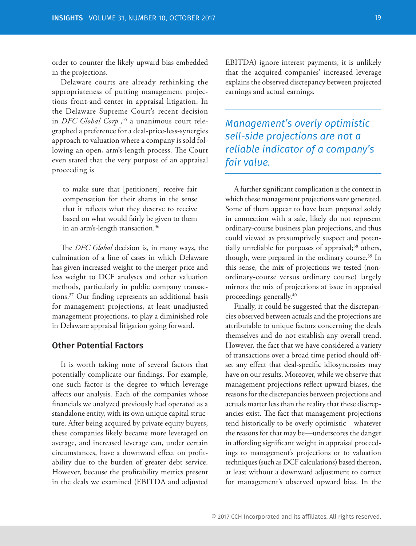order to counter the likely upward bias embedded in the projections.

Delaware courts are already rethinking the appropriateness of putting management projections front-and-center in appraisal litigation. In the Delaware Supreme Court's recent decision in *DFC Global Corp.*, 35 a unanimous court telegraphed a preference for a deal-price-less-synergies approach to valuation where a company is sold following an open, arm's-length process. The Court even stated that the very purpose of an appraisal proceeding is

to make sure that [petitioners] receive fair compensation for their shares in the sense that it reflects what they deserve to receive based on what would fairly be given to them in an arm's-length transaction.<sup>36</sup>

The *DFC Global* decision is, in many ways, the culmination of a line of cases in which Delaware has given increased weight to the merger price and less weight to DCF analyses and other valuation methods, particularly in public company transactions.<sup>37</sup> Our finding represents an additional basis for management projections, at least unadjusted management projections, to play a diminished role in Delaware appraisal litigation going forward.

#### Other Potential Factors

It is worth taking note of several factors that potentially complicate our findings. For example, one such factor is the degree to which leverage affects our analysis. Each of the companies whose financials we analyzed previously had operated as a standalone entity, with its own unique capital structure. After being acquired by private equity buyers, these companies likely became more leveraged on average, and increased leverage can, under certain circumstances, have a downward effect on profitability due to the burden of greater debt service. However, because the profitability metrics present in the deals we examined (EBITDA and adjusted

EBITDA) ignore interest payments, it is unlikely that the acquired companies' increased leverage explains the observed discrepancy between projected earnings and actual earnings.

*Management's overly optimistic sell-side projections are not a reliable indicator of a company's fair value.*

A further significant complication is the context in which these management projections were generated. Some of them appear to have been prepared solely in connection with a sale, likely do not represent ordinary-course business plan projections, and thus could viewed as presumptively suspect and potentially unreliable for purposes of appraisal;<sup>38</sup> others, though, were prepared in the ordinary course.<sup>39</sup> In this sense, the mix of projections we tested (nonordinary-course versus ordinary course) largely mirrors the mix of projections at issue in appraisal proceedings generally.<sup>40</sup>

Finally, it could be suggested that the discrepancies observed between actuals and the projections are attributable to unique factors concerning the deals themselves and do not establish any overall trend. However, the fact that we have considered a variety of transactions over a broad time period should offset any effect that deal-specific idiosyncrasies may have on our results. Moreover, while we observe that management projections reflect upward biases, the reasons for the discrepancies between projections and actuals matter less than the reality that these discrepancies exist. The fact that management projections tend historically to be overly optimistic—whatever the reasons for that may be—underscores the danger in affording significant weight in appraisal proceedings to management's projections or to valuation techniques (such as DCF calculations) based thereon, at least without a downward adjustment to correct for management's observed upward bias. In the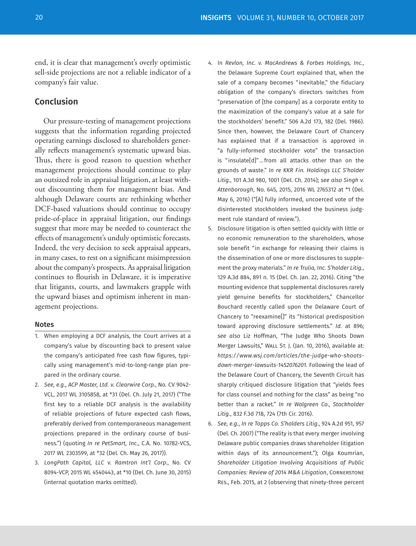end, it is clear that management's overly optimistic sell-side projections are not a reliable indicator of a company's fair value.

### Conclusion

Our pressure-testing of management projections suggests that the information regarding projected operating earnings disclosed to shareholders generally reflects management's systematic upward bias. Thus, there is good reason to question whether management projections should continue to play an outsized role in appraisal litigation, at least without discounting them for management bias. And although Delaware courts are rethinking whether DCF-based valuations should continue to occupy pride-of-place in appraisal litigation, our findings suggest that more may be needed to counteract the effects of management's unduly optimistic forecasts. Indeed, the very decision to seek appraisal appears, in many cases, to rest on a significant misimpression about the company's prospects. As appraisal litigation continues to flourish in Delaware, it is imperative that litigants, courts, and lawmakers grapple with the upward biases and optimism inherent in management projections.

#### Notes

- 1. When employing a DCF analysis, the Court arrives at a company's value by discounting back to present value the company's anticipated free cash flow figures, typically using management's mid-to-long-range plan prepared in the ordinary course.
- 2. *See, e.g.*, *ACP Master, Ltd. v. Clearwire Corp.*, No. CV 9042- VCL, 2017 WL 3105858, at \*31 (Del. Ch. July 21, 2017) ("The first key to a reliable DCF analysis is the availability of reliable projections of future expected cash flows, preferably derived from contemporaneous management projections prepared in the ordinary course of business.") (quoting *In re PetSmart, Inc*., C.A. No. 10782-VCS, 2017 WL 2303599, at \*32 (Del. Ch. May 26, 2017)).
- 3. *LongPath Capital, LLC v. Ramtron Int'l Corp.*, No. CV 8094-VCP, 2015 WL 4540443, at \*10 (Del. Ch. June 30, 2015) (internal quotation marks omitted).
- 4. In *Revlon, Inc. v. MacAndrews & Forbes Holdings, Inc.*, the Delaware Supreme Court explained that, when the sale of a company becomes "inevitable," the fiduciary obligation of the company's directors switches from "preservation of [the company] as a corporate entity to the maximization of the company's value at a sale for the stockholders' benefit." 506 A.2d 173, 182 (Del. 1986). Since then, however, the Delaware Court of Chancery has explained that if a transaction is approved in "a fully-informed stockholder vote" the transaction is "insulate[d]" … from all attacks other than on the grounds of waste." *In re KKR Fin. Holdings LLC S'holder Litig.*, 101 A.3d 980, 1001 (Del. Ch. 2014); *see also Singh v. Attenborough*, No. 645, 2015, 2016 WL 2765312 at \*1 (Del. May 6, 2016) ("[A] fully informed, uncoerced vote of the disinterested stockholders invoked the business judgment rule standard of review.").
- 5. Disclosure litigation is often settled quickly with little or no economic remuneration to the shareholders, whose sole benefit "in exchange for releasing their claims is the dissemination of one or more disclosures to supplement the proxy materials." *In re Trulia, Inc. S'holder Litig.*, 129 A.3d 884, 891 n. 15 (Del. Ch. Jan. 22, 2016). Citing "the mounting evidence that supplemental disclosures rarely yield genuine benefits for stockholders," Chancellor Bouchard recently called upon the Delaware Court of Chancery to "reexamine[]" its "historical predisposition toward approving disclosure settlements." *Id.* at 896; *see also* Liz Hoffman, "The Judge Who Shoots Down Merger Lawsuits," Wall St. J. (Jan. 10, 2016), available at: *https://www.wsj.com/articles/the-judge-who-shootsdown-merger-lawsuits-1452076201.* Following the lead of the Delaware Court of Chancery, the Seventh Circuit has sharply critiqued disclosure litigation that "yields fees for class counsel and nothing for the class" as being "no better than a racket." *In re Walgreen Co., Stockholder Litig.*, 832 F.3d 718, 724 (7th Cir. 2016).
- 6. *See, e.g.*, *In re Topps Co. S'holders Litig.*, 924 A.2d 951, 957 (Del. Ch. 2007) ("The reality is that every merger involving Delaware public companies draws shareholder litigation within days of its announcement."); Olga Koumrian, *Shareholder Litigation Involving Acquisitions of Public Companies: Review of 2014 M&A Litigation*, Cornerstone Res., Feb. 2015, at 2 (observing that ninety-three percent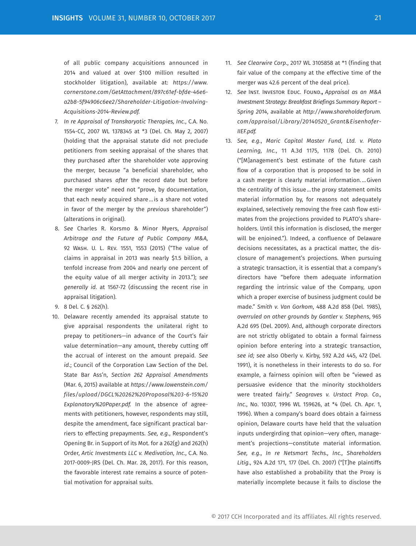of all public company acquisitions announced in 2014 and valued at over \$100 million resulted in stockholder litigation), available at: *https://www. cornerstone.com/GetAttachment/897c61ef-bfde-46e6 a2b8-5f94906c6ee2/Shareholder-Litigation-Involving-Acquisitions-2014-Review.pdf.*

- 7. *In re Appraisal of Transkaryotic Therapies, Inc.*, C.A. No. 1554-CC, 2007 WL 1378345 at \*3 (Del. Ch. May 2, 2007) (holding that the appraisal statute did not preclude petitioners from seeking appraisal of the shares that they purchased after the shareholder vote approving the merger, because "a beneficial shareholder, who purchased shares *after* the record date but before the merger vote" need not "prove, by documentation, that each newly acquired share … is a share not voted in favor of the merger by the *previous* shareholder") (alterations in original).
- 8. *See* Charles R. Korsmo & Minor Myers, *Appraisal Arbitrage and the Future of Public Company M&A*, 92 Wash. U. L. Rev. 1551, 1553 (2015) ("The value of claims in appraisal in 2013 was nearly \$1.5 billion, a tenfold increase from 2004 and nearly one percent of the equity value of all merger activity in 2013."); *see generally id.* at 1567-72 (discussing the recent rise in appraisal litigation).
- 9. 8 Del. C. § 262(h).
- 10. Delaware recently amended its appraisal statute to give appraisal respondents the unilateral right to prepay to petitioners—in advance of the Court's fair value determination—any amount, thereby cutting off the accrual of interest on the amount prepaid. *See id.*; Council of the Corporation Law Section of the Del. State Bar Ass'n, *Section 262 Appraisal Amendments* (Mar. 6, 2015) available at *https://www.lowenstein.com/ files/upload/DGCL%20262%20Proposal%203-6-15%20 Explanatory%20Paper.pdf.* In the absence of agreements with petitioners, however, respondents may still, despite the amendment, face significant practical barriers to effecting prepayments. *See, e.g.*, Respondent's Opening Br. in Support of its Mot. for a 262(g) and 262(h) Order, *Artic Investments LLC v. Medivation, Inc.*, C.A. No. 2017-0009-JRS (Del. Ch. Mar. 28, 2017). For this reason, the favorable interest rate remains a source of potential motivation for appraisal suits.
- 11. *See Clearwire Corp.*, 2017 WL 3105858 at \*1 (finding that fair value of the company at the effective time of the merger was 42.6 percent of the deal price).
- 12. *See* Inst. Investor Educ. Found.**,** *Appraisal as an M&A Investment Strategy: Breakfast Briefings Summary Report – Spring 2014*, available at *http://www.shareholderforum. com/appraisal/Library/20140520\_Grant&Eisenhofer-IIEF.pdf.*
- 13. *See, e.g.*, *Maric Capital Master Fund, Ltd. v. Plato Learning, Inc.*, 11 A.3d 1175, 1178 (Del. Ch. 2010) ("[M]anagement's best estimate of the future cash flow of a corporation that is proposed to be sold in a cash merger is clearly material information. … Given the centrality of this issue … the proxy statement omits material information by, for reasons not adequately explained, selectively removing the free cash flow estimates from the projections provided to PLATO's shareholders. Until this information is disclosed, the merger will be enjoined."). Indeed, a confluence of Delaware decisions necessitates, as a practical matter, the disclosure of management's projections. When pursuing a strategic transaction, it is essential that a company's directors have "before them adequate information regarding the intrinsic value of the Company, upon which a proper exercise of business judgment could be made." *Smith v. Van Gorkom*, 488 A.2d 858 (Del. 1985), *overruled on other grounds by Gantler v. Stephens*, 965 A.2d 695 (Del. 2009). And, although corporate directors are not strictly obligated to obtain a formal fairness opinion before entering into a strategic transaction, *see id; see* also Oberly v. Kirby, 592 A.2d 445, 472 (Del. 1991), it is nonetheless in their interests to do so. For example, a fairness opinion will often be "viewed as persuasive evidence that the minority stockholders were treated fairly." *Seagraves v. Urstact Prop. Co., Inc.*, No. 10307, 1996 WL 159626, at \*4 (Del. Ch. Apr. 1, 1996). When a company's board does obtain a fairness opinion, Delaware courts have held that the valuation inputs undergirding that opinion—very often, management's projections—constitute material information. *See, e.g.*, *In re Netsmart Techs., Inc., Shareholders Litig.*, 924 A.2d 171, 177 (Del. Ch. 2007) ("[T]he plaintiffs have also established a probability that the Proxy is materially incomplete because it fails to disclose the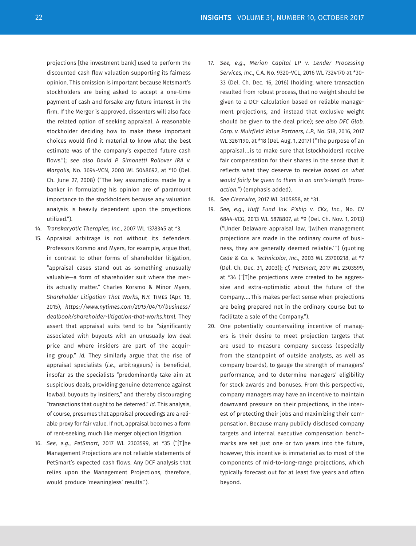projections [the investment bank] used to perform the discounted cash flow valuation supporting its fairness opinion. This omission is important because Netsmart's stockholders are being asked to accept a one-time payment of cash and forsake any future interest in the firm. If the Merger is approved, dissenters will also face the related option of seeking appraisal. A reasonable stockholder deciding how to make these important choices would find it material to know what the best estimate was of the company's expected future cash flows."); *see also David P. Simonetti Rollover IRA v. Margolis*, No. 3694-VCN, 2008 WL 5048692, at \*10 (Del. Ch. June 27, 2008) ("The key assumptions made by a banker in formulating his opinion are of paramount importance to the stockholders because any valuation analysis is heavily dependent upon the projections utilized.").

- 14. *Transkaryotic Therapies, Inc.*, 2007 WL 1378345 at \*3.
- 15. Appraisal arbitrage is not without its defenders. Professors Korsmo and Myers, for example, argue that, in contrast to other forms of shareholder litigation, "appraisal cases stand out as something unusually valuable—a form of shareholder suit where the merits actually matter." Charles Korsmo & Minor Myers, *Shareholder Litigation That Works*, N.Y. Times (Apr. 16, 2015), *https://www.nytimes.com/2015/04/17/business/ dealbook/shareholder-litigation-that-works.html.* They assert that appraisal suits tend to be "significantly associated with buyouts with an unusually low deal price and where insiders are part of the acquiring group." *Id.* They similarly argue that the rise of appraisal specialists (*i.e.*, arbitrageurs) is beneficial, insofar as the specialists "predominantly take aim at suspicious deals, providing genuine deterrence against lowball buyouts by insiders," and thereby discouraging "transactions that ought to be deterred." *Id.* This analysis, of course, presumes that appraisal proceedings are a reliable proxy for fair value. If not, appraisal becomes a form of rent-seeking, much like merger objection litigation.
- 16. *See, e.g.*, *PetSmart*, 2017 WL 2303599, at \*35 ("[T]he Management Projections are not reliable statements of PetSmart's expected cash flows. Any DCF analysis that relies upon the Management Projections, therefore, would produce 'meaningless' results.").
- 17. *See, e.g., Merion Capital LP v. Lender Processing Services, Inc.*, C.A. No. 9320-VCL, 2016 WL 7324170 at \*30- 33 (Del. Ch. Dec. 16, 2016) (holding, where transaction resulted from robust process, that no weight should be given to a DCF calculation based on reliable management projections, and instead that exclusive weight should be given to the deal price); *see also DFC Glob. Corp. v. Muirfield Value Partners, L.P.*, No. 518, 2016, 2017 WL 3261190, at \*18 (Del. Aug. 1, 2017) ("The purpose of an appraisal … is to make sure that [stockholders] receive fair compensation for their shares in the sense that it reflects what they deserve to receive *based on what would fairly be given to them in an arm's-length transaction.*") (emphasis added).
- 18. *See Clearwire*, 2017 WL 3105858, at \*31.
- 19. *See, e.g.*, *Huff Fund Inv. P'ship v. CKx, Inc*., No. CV 6844-VCG, 2013 WL 5878807, at \*9 (Del. Ch. Nov. 1, 2013) ("Under Delaware appraisal law, '[w]hen management projections are made in the ordinary course of business, they are generally deemed reliable.'") (quoting *Cede & Co. v. Technicolor, Inc.*, 2003 WL 23700218, at \*7 (Del. Ch. Dec. 31, 2003)); *cf. PetSmart*, 2017 WL 2303599, at \*34 ("[T]he projections were created to be aggressive and extra-optimistic about the future of the Company. … This makes perfect sense when projections are being prepared not in the ordinary course but to facilitate a sale of the Company.").
- 20. One potentially countervailing incentive of managers is their desire to meet projection targets that are used to measure company success (especially from the standpoint of outside analysts, as well as company boards), to gauge the strength of managers' performance, and to determine managers' eligibility for stock awards and bonuses. From this perspective, company managers may have an incentive to maintain downward pressure on their projections, in the interest of protecting their jobs and maximizing their compensation. Because many publicly disclosed company targets and internal executive compensation benchmarks are set just one or two years into the future, however, this incentive is immaterial as to most of the components of mid-to-long-range projections, which typically forecast out for at least five years and often beyond.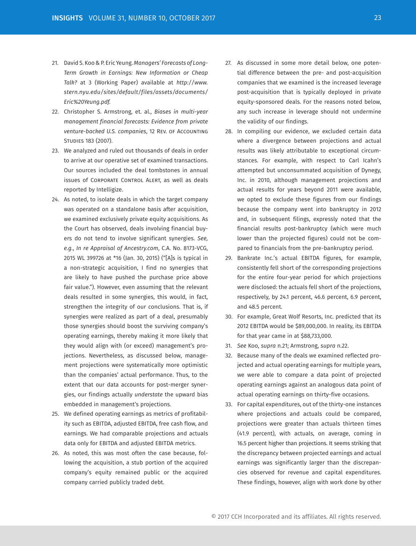- 21. David S. Koo & P. Eric Yeung. *Managers' Forecasts of Long-Term Growth in Earnings: New Information or Cheap Talk?* at 3 (Working Paper) available at *http://www. stern.nyu.edu/sites/default/files/assets/documents/ Eric%20Yeung.pdf.*
- 22. Christopher S. Armstrong, et. al., *Biases in multi-year management financial forecasts: Evidence from private venture-backed U.S. companies*, 12 Rev. of Accounting Studies 183 (2007).
- 23. We analyzed and ruled out thousands of deals in order to arrive at our operative set of examined transactions. Our sources included the deal tombstones in annual issues of Corporate Control Alert, as well as deals reported by Intelligize.
- 24. As noted, to isolate deals in which the target company was operated on a standalone basis after acquisition, we examined exclusively private equity acquisitions. As the Court has observed, deals involving financial buyers do not tend to involve significant synergies. *See, e.g.*, *In re Appraisal of Ancestry.com*, C.A. No. 8173-VCG, 2015 WL 399726 at \*16 (Jan. 30, 2015) ("[A]s is typical in a non-strategic acquisition, I find no synergies that are likely to have pushed the purchase price above fair value."). However, even assuming that the relevant deals resulted in some synergies, this would, in fact, strengthen the integrity of our conclusions. That is, if synergies were realized as part of a deal, presumably those synergies should boost the surviving company's operating earnings, thereby making it more likely that they would align with (or exceed) management's projections. Nevertheless, as discussed below, management projections were systematically more optimistic than the companies' actual performance. Thus, to the extent that our data accounts for post-merger synergies, our findings actually *understate* the upward bias embedded in management's projections.
- 25. We defined operating earnings as metrics of profitability such as EBITDA, adjusted EBITDA, free cash flow, and earnings. We had comparable projections and actuals data only for EBITDA and adjusted EBITDA metrics.
- 26. As noted, this was most often the case because, following the acquisition, a stub portion of the acquired company's equity remained public or the acquired company carried publicly traded debt.
- 27. As discussed in some more detail below, one potential difference between the pre- and post-acquisition companies that we examined is the increased leverage post-acquisition that is typically deployed in private equity-sponsored deals. For the reasons noted below, any such increase in leverage should not undermine the validity of our findings.
- 28. In compiling our evidence, we excluded certain data where a divergence between projections and actual results was likely attributable to exceptional circumstances. For example, with respect to Carl Icahn's attempted but unconsummated acquisition of Dynegy, Inc. in 2010, although management projections and actual results for years beyond 2011 were available, we opted to exclude these figures from our findings because the company went into bankruptcy in 2012 and, in subsequent filings, expressly noted that the financial results post-bankruptcy (which were much lower than the projected figures) could not be compared to financials from the pre-bankruptcy period.
- 29. Bankrate Inc.'s actual EBITDA figures, for example, consistently fell short of the corresponding projections for the entire four-year period for which projections were disclosed: the actuals fell short of the projections, respectively, by 24.1 percent, 46.6 percent, 6.9 percent, and 48.5 percent.
- 30. For example, Great Wolf Resorts, Inc. predicted that its 2012 EBITDA would be \$89,000,000. In reality, its EBITDA for that year came in at \$88,733,000.
- 31. *See* Koo, *supra* n.21; Armstrong, *supra* n.22.
- 32. Because many of the deals we examined reflected projected and actual operating earnings for multiple years, we were able to compare a data point of projected operating earnings against an analogous data point of actual operating earnings on thirty-five occasions.
- 33. For capital expenditures, out of the thirty-one instances where projections and actuals could be compared, projections were greater than actuals thirteen times (41.9 percent), with actuals, on average, coming in 16.5 percent higher than projections. It seems striking that the discrepancy between projected earnings and actual earnings was significantly larger than the discrepancies observed for revenue and capital expenditures. These findings, however, align with work done by other